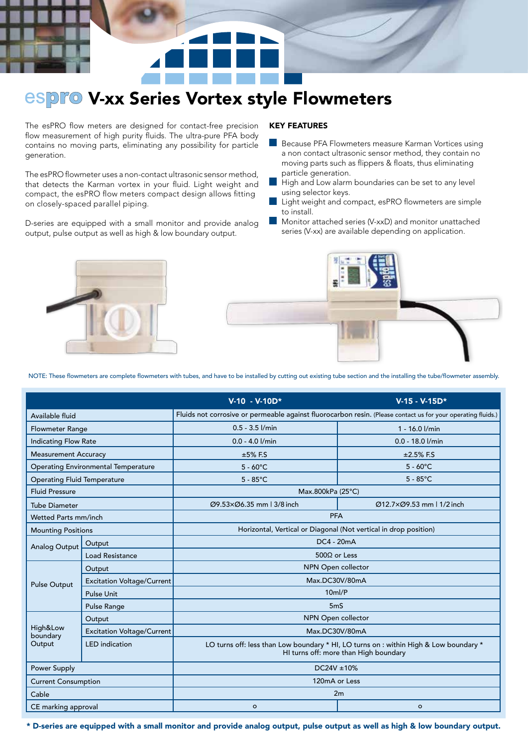## **espro V-xx Series Vortex style Flowmeters**

The esPRO flow meters are designed for contact-free precision flow measurement of high purity fluids. The ultra-pure PFA body contains no moving parts, eliminating any possibility for particle generation.

The esPRO flowmeter uses a non-contact ultrasonic sensor method, that detects the Karman vortex in your fluid. Light weight and compact, the esPRO flow meters compact design allows fitting on closely-spaced parallel piping.

D-series are equipped with a small monitor and provide analog output, pulse output as well as high & low boundary output.

## KEY FEATURES

- Because PFA Flowmeters measure Karman Vortices using a non contact ultrasonic sensor method, they contain no moving parts such as flippers & floats, thus eliminating particle generation.
- High and Low alarm boundaries can be set to any level using selector keys.
- Light weight and compact, esPRO flowmeters are simple to install.
- Monitor attached series (V-xxD) and monitor unattached series (V-xx) are available depending on application.





NOTE: These flowmeters are complete flowmeters with tubes, and have to be installed by cutting out existing tube section and the installing the tube/flowmeter assembly.

|                                     |                                   | $V-10 - V-10D*$                                                                                                                | $V-15 - V-15D*$          |  |
|-------------------------------------|-----------------------------------|--------------------------------------------------------------------------------------------------------------------------------|--------------------------|--|
| Available fluid                     |                                   | Fluids not corrosive or permeable against fluorocarbon resin. (Please contact us for your operating fluids.)                   |                          |  |
| <b>Flowmeter Range</b>              |                                   | $0.5 - 3.5$ $1/min$                                                                                                            | 1 - 16.0 l/min           |  |
| <b>Indicating Flow Rate</b>         |                                   | $0.0 - 4.0$ $1/min$                                                                                                            | $0.0 - 18.0$ l/min       |  |
| <b>Measurement Accuracy</b>         |                                   | $±5\%$ F.S                                                                                                                     | $±2.5\%$ F.S             |  |
| Operating Environmental Temperature |                                   | $5 - 60^{\circ}$ C                                                                                                             | $5 - 60^{\circ}C$        |  |
| <b>Operating Fluid Temperature</b>  |                                   | $5 - 85^{\circ}C$                                                                                                              | $5 - 85^{\circ}$ C       |  |
| <b>Fluid Pressure</b>               |                                   | Max.800kPa (25°C)                                                                                                              |                          |  |
| <b>Tube Diameter</b>                |                                   | Ø9.53ר6.35 mm   3/8 inch                                                                                                       | Ø12.7ר9.53 mm   1/2 inch |  |
| Wetted Parts mm/inch                |                                   | <b>PFA</b>                                                                                                                     |                          |  |
| <b>Mounting Positions</b>           |                                   | Horizontal, Vertical or Diagonal (Not vertical in drop position)                                                               |                          |  |
| <b>Analog Output</b>                | Output                            | DC4 - 20mA                                                                                                                     |                          |  |
|                                     | Load Resistance                   | 500Ω or Less                                                                                                                   |                          |  |
| <b>Pulse Output</b>                 | Output                            | NPN Open collector                                                                                                             |                          |  |
|                                     | <b>Excitation Voltage/Current</b> | Max.DC30V/80mA                                                                                                                 |                          |  |
|                                     | Pulse Unit                        | $10m$ $/P$                                                                                                                     |                          |  |
|                                     | Pulse Range                       | 5 <sub>m</sub>                                                                                                                 |                          |  |
| High&Low<br>boundary<br>Output      | Output                            | NPN Open collector                                                                                                             |                          |  |
|                                     | <b>Excitation Voltage/Current</b> | Max.DC30V/80mA                                                                                                                 |                          |  |
|                                     | <b>LED</b> indication             | LO turns off: less than Low boundary * HI, LO turns on : within High & Low boundary *<br>HI turns off: more than High boundary |                          |  |
| Power Supply                        |                                   | $DC24V \pm 10\%$                                                                                                               |                          |  |
| <b>Current Consumption</b>          |                                   | 120mA or Less                                                                                                                  |                          |  |
| Cable                               |                                   | 2m                                                                                                                             |                          |  |
| CE marking approval                 |                                   | $\Omega$                                                                                                                       | $\circ$                  |  |

\* D-series are equipped with a small monitor and provide analog output, pulse output as well as high & low boundary output.